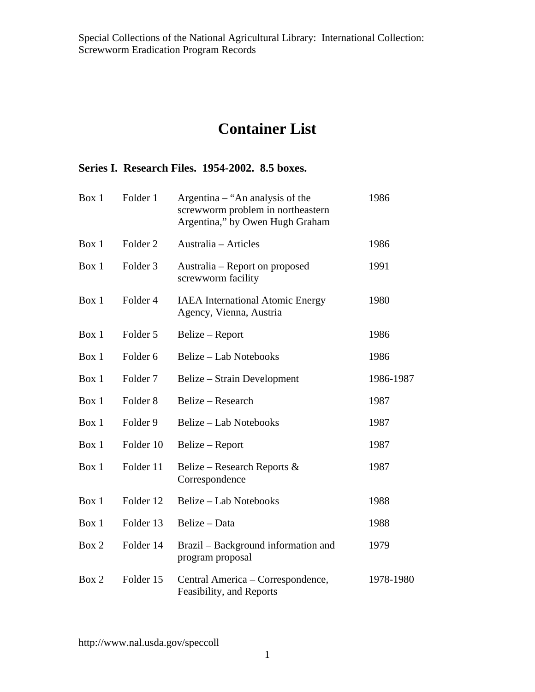## **Container List**

## **Series I. Research Files. 1954-2002. 8.5 boxes.**

| Box 1 | Folder 1            | Argentina – "An analysis of the<br>screwworm problem in northeastern<br>Argentina," by Owen Hugh Graham | 1986      |
|-------|---------------------|---------------------------------------------------------------------------------------------------------|-----------|
| Box 1 | Folder <sub>2</sub> | Australia – Articles                                                                                    | 1986      |
| Box 1 | Folder <sub>3</sub> | Australia – Report on proposed<br>screwworm facility                                                    | 1991      |
| Box 1 | Folder <sub>4</sub> | <b>IAEA</b> International Atomic Energy<br>Agency, Vienna, Austria                                      | 1980      |
| Box 1 | Folder 5            | Belize – Report                                                                                         | 1986      |
| Box 1 | Folder <sub>6</sub> | Belize – Lab Notebooks                                                                                  | 1986      |
| Box 1 | Folder <sub>7</sub> | Belize – Strain Development                                                                             | 1986-1987 |
| Box 1 | Folder <sub>8</sub> | Belize – Research                                                                                       | 1987      |
| Box 1 | Folder 9            | <b>Belize – Lab Notebooks</b>                                                                           | 1987      |
| Box 1 | Folder 10           | Belize – Report                                                                                         | 1987      |
| Box 1 | Folder 11           | Belize – Research Reports $\&$<br>Correspondence                                                        | 1987      |
| Box 1 | Folder 12           | <b>Belize - Lab Notebooks</b>                                                                           | 1988      |
| Box 1 | Folder 13           | Belize – Data                                                                                           | 1988      |
| Box 2 | Folder 14           | Brazil – Background information and<br>program proposal                                                 | 1979      |
| Box 2 | Folder 15           | Central America – Correspondence,<br>Feasibility, and Reports                                           | 1978-1980 |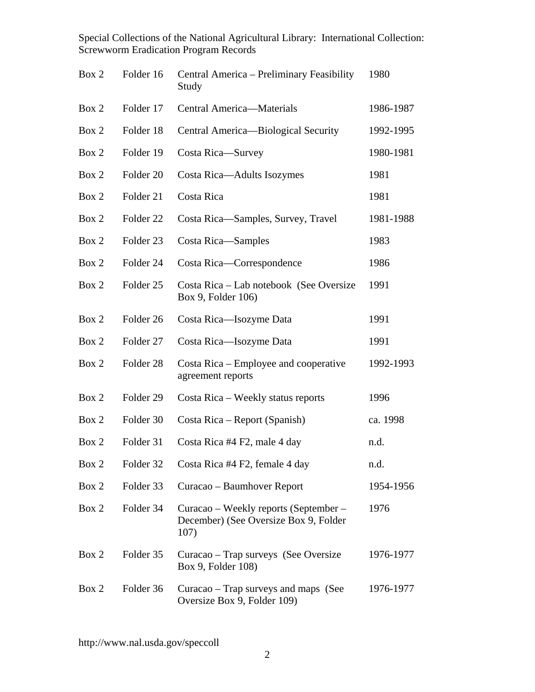| Box 2 | Folder 16            | Central America - Preliminary Feasibility<br>Study                                     | 1980      |
|-------|----------------------|----------------------------------------------------------------------------------------|-----------|
| Box 2 | Folder 17            | Central America-Materials                                                              | 1986-1987 |
| Box 2 | Folder 18            | Central America—Biological Security                                                    | 1992-1995 |
| Box 2 | Folder 19            | Costa Rica-Survey                                                                      | 1980-1981 |
| Box 2 | Folder <sub>20</sub> | Costa Rica-Adults Isozymes                                                             | 1981      |
| Box 2 | Folder 21            | Costa Rica                                                                             | 1981      |
| Box 2 | Folder <sub>22</sub> | Costa Rica-Samples, Survey, Travel                                                     | 1981-1988 |
| Box 2 | Folder <sub>23</sub> | Costa Rica-Samples                                                                     | 1983      |
| Box 2 | Folder 24            | Costa Rica-Correspondence                                                              | 1986      |
| Box 2 | Folder 25            | Costa Rica – Lab notebook (See Oversize<br>Box 9, Folder 106)                          | 1991      |
| Box 2 | Folder 26            | Costa Rica-Isozyme Data                                                                | 1991      |
| Box 2 | Folder 27            | Costa Rica-Isozyme Data                                                                | 1991      |
| Box 2 | Folder <sub>28</sub> | Costa Rica – Employee and cooperative<br>agreement reports                             | 1992-1993 |
| Box 2 | Folder 29            | Costa Rica – Weekly status reports                                                     | 1996      |
| Box 2 | Folder 30            | Costa Rica – Report (Spanish)                                                          | ca. 1998  |
| Box 2 | Folder 31            | Costa Rica #4 F2, male 4 day                                                           | n.d.      |
| Box 2 | Folder 32            | Costa Rica #4 F2, female 4 day                                                         | n.d.      |
| Box 2 | Folder 33            | Curacao – Baumhover Report                                                             | 1954-1956 |
| Box 2 | Folder 34            | Curacao - Weekly reports (September -<br>December) (See Oversize Box 9, Folder<br>107) | 1976      |
| Box 2 | Folder 35            | Curacao – Trap surveys (See Oversize<br>Box 9, Folder 108)                             | 1976-1977 |
| Box 2 | Folder 36            | Curacao – Trap surveys and maps (See<br>Oversize Box 9, Folder 109)                    | 1976-1977 |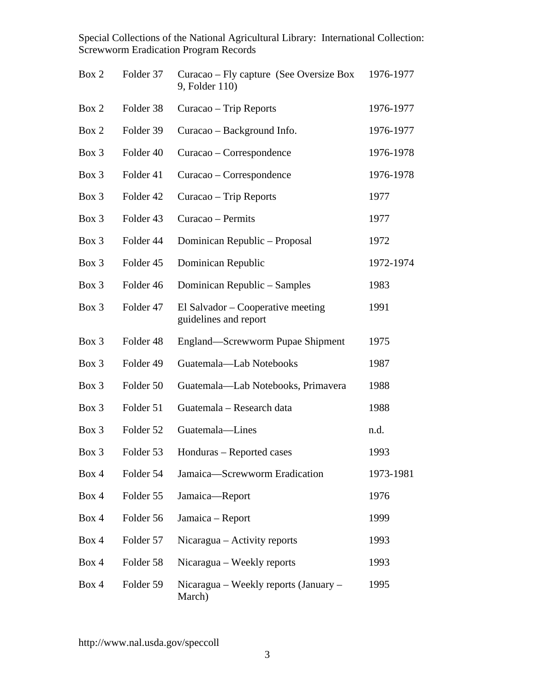| Box 2 | Folder 37            | Curacao – Fly capture (See Oversize Box<br>9, Folder 110)  | 1976-1977 |
|-------|----------------------|------------------------------------------------------------|-----------|
| Box 2 | Folder 38            | Curacao – Trip Reports                                     | 1976-1977 |
| Box 2 | Folder 39            | Curacao – Background Info.                                 | 1976-1977 |
| Box 3 | Folder 40            | Curacao – Correspondence                                   | 1976-1978 |
| Box 3 | Folder 41            | Curacao – Correspondence                                   | 1976-1978 |
| Box 3 | Folder 42            | Curacao – Trip Reports                                     | 1977      |
| Box 3 | Folder 43            | Curacao - Permits                                          | 1977      |
| Box 3 | Folder 44            | Dominican Republic - Proposal                              | 1972      |
| Box 3 | Folder 45            | Dominican Republic                                         | 1972-1974 |
| Box 3 | Folder 46            | Dominican Republic - Samples                               | 1983      |
| Box 3 | Folder 47            | El Salvador – Cooperative meeting<br>guidelines and report | 1991      |
| Box 3 | Folder <sub>48</sub> | England—Screwworm Pupae Shipment                           | 1975      |
| Box 3 | Folder 49            | Guatemala-Lab Notebooks                                    | 1987      |
| Box 3 | Folder 50            | Guatemala—Lab Notebooks, Primavera                         | 1988      |
| Box 3 | Folder 51            | Guatemala - Research data                                  | 1988      |
| Box 3 | Folder 52            | Guatemala-Lines                                            | n.d.      |
| Box 3 | Folder 53            | Honduras – Reported cases                                  | 1993      |
| Box 4 | Folder 54            | Jamaica-Screwworm Eradication                              | 1973-1981 |
| Box 4 | Folder 55            | Jamaica-Report                                             | 1976      |
| Box 4 | Folder 56            | Jamaica - Report                                           | 1999      |
| Box 4 | Folder 57            | Nicaragua – Activity reports                               | 1993      |
| Box 4 | Folder 58            | Nicaragua – Weekly reports                                 | 1993      |
| Box 4 | Folder 59            | Nicaragua – Weekly reports (January –<br>March)            | 1995      |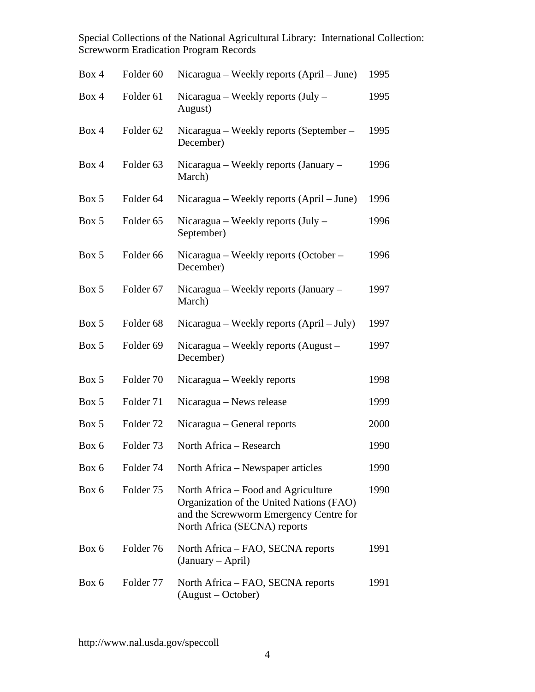| Box 4 | Folder <sub>60</sub> | Nicaragua – Weekly reports (April – June)                                                                                                                 | 1995 |
|-------|----------------------|-----------------------------------------------------------------------------------------------------------------------------------------------------------|------|
| Box 4 | Folder <sub>61</sub> | Nicaragua – Weekly reports (July –<br>August)                                                                                                             | 1995 |
| Box 4 | Folder <sub>62</sub> | Nicaragua – Weekly reports (September –<br>December)                                                                                                      | 1995 |
| Box 4 | Folder <sub>63</sub> | Nicaragua – Weekly reports (January –<br>March)                                                                                                           | 1996 |
| Box 5 | Folder <sub>64</sub> | Nicaragua – Weekly reports (April – June)                                                                                                                 | 1996 |
| Box 5 | Folder <sub>65</sub> | Nicaragua – Weekly reports (July –<br>September)                                                                                                          | 1996 |
| Box 5 | Folder <sub>66</sub> | Nicaragua – Weekly reports (October –<br>December)                                                                                                        | 1996 |
| Box 5 | Folder <sub>67</sub> | Nicaragua – Weekly reports (January –<br>March)                                                                                                           | 1997 |
| Box 5 | Folder <sub>68</sub> | Nicaragua – Weekly reports (April – July)                                                                                                                 | 1997 |
| Box 5 | Folder <sub>69</sub> | Nicaragua – Weekly reports (August –<br>December)                                                                                                         | 1997 |
| Box 5 | Folder 70            | Nicaragua – Weekly reports                                                                                                                                | 1998 |
| Box 5 | Folder 71            | Nicaragua – News release                                                                                                                                  | 1999 |
| Box 5 | Folder <sub>72</sub> | Nicaragua – General reports                                                                                                                               | 2000 |
| Box 6 | Folder <sub>73</sub> | North Africa - Research                                                                                                                                   | 1990 |
| Box 6 | Folder 74            | North Africa – Newspaper articles                                                                                                                         | 1990 |
| Box 6 | Folder 75            | North Africa – Food and Agriculture<br>Organization of the United Nations (FAO)<br>and the Screwworm Emergency Centre for<br>North Africa (SECNA) reports | 1990 |
| Box 6 | Folder 76            | North Africa – FAO, SECNA reports<br>(January – April)                                                                                                    | 1991 |
| Box 6 | Folder 77            | North Africa – FAO, SECNA reports<br>(August – October)                                                                                                   | 1991 |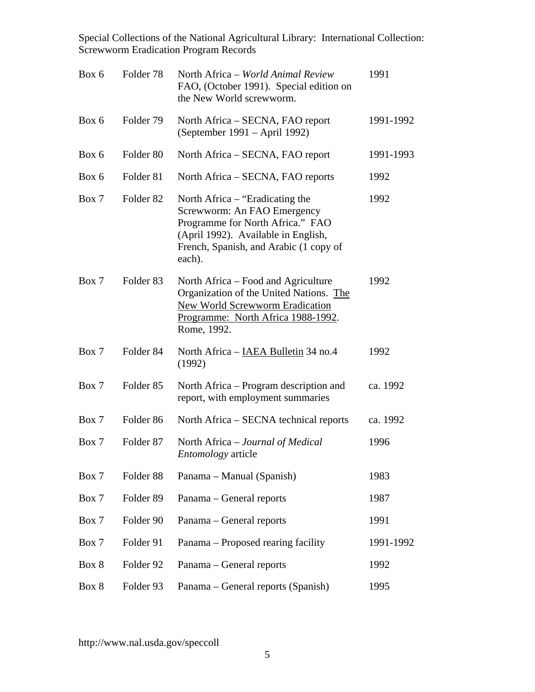| Box 6 | Folder 78            | North Africa - World Animal Review<br>FAO, (October 1991). Special edition on<br>the New World screwworm.                                                                                     | 1991      |
|-------|----------------------|-----------------------------------------------------------------------------------------------------------------------------------------------------------------------------------------------|-----------|
| Box 6 | Folder 79            | North Africa – SECNA, FAO report<br>(September 1991 – April 1992)                                                                                                                             | 1991-1992 |
| Box 6 | Folder 80            | North Africa – SECNA, FAO report                                                                                                                                                              | 1991-1993 |
| Box 6 | Folder 81            | North Africa – SECNA, FAO reports                                                                                                                                                             | 1992      |
| Box 7 | Folder <sub>82</sub> | North Africa – "Eradicating the<br>Screwworm: An FAO Emergency<br>Programme for North Africa." FAO<br>(April 1992). Available in English,<br>French, Spanish, and Arabic (1 copy of<br>each). | 1992      |
| Box 7 | Folder <sub>83</sub> | North Africa – Food and Agriculture<br>Organization of the United Nations. The<br><b>New World Screwworm Eradication</b><br>Programme: North Africa 1988-1992.<br>Rome, 1992.                 | 1992      |
| Box 7 | Folder <sub>84</sub> | North Africa – IAEA Bulletin 34 no.4<br>(1992)                                                                                                                                                | 1992      |
| Box 7 | Folder <sub>85</sub> | North Africa – Program description and<br>report, with employment summaries                                                                                                                   | ca. 1992  |
| Box 7 | Folder <sub>86</sub> | North Africa – SECNA technical reports                                                                                                                                                        | ca. 1992  |
| Box 7 | Folder 87            | North Africa – Journal of Medical<br><i>Entomology</i> article                                                                                                                                | 1996      |
| Box 7 | Folder 88            | Panama – Manual (Spanish)                                                                                                                                                                     | 1983      |
| Box 7 | Folder <sub>89</sub> | Panama – General reports                                                                                                                                                                      | 1987      |
| Box 7 | Folder 90            | Panama – General reports                                                                                                                                                                      | 1991      |
| Box 7 | Folder 91            | Panama – Proposed rearing facility                                                                                                                                                            | 1991-1992 |
| Box 8 | Folder 92            | Panama – General reports                                                                                                                                                                      | 1992      |
| Box 8 | Folder 93            | Panama - General reports (Spanish)                                                                                                                                                            | 1995      |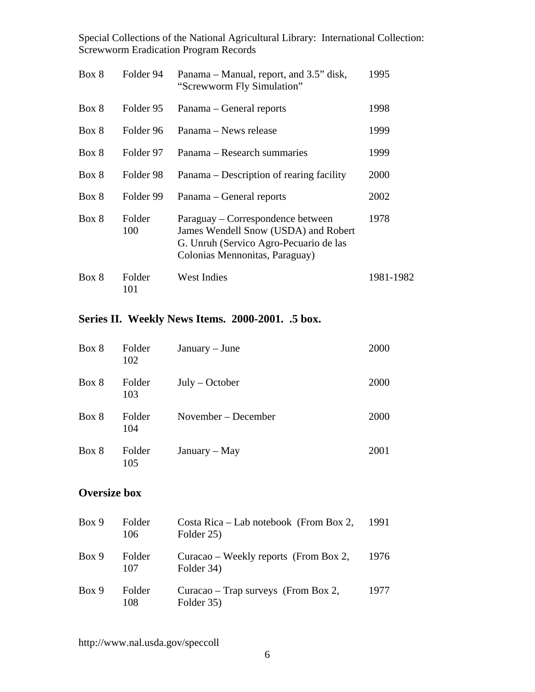| Box 8 | Folder 94     | Panama – Manual, report, and 3.5" disk,<br>"Screwworm Fly Simulation"                                                                                 | 1995      |
|-------|---------------|-------------------------------------------------------------------------------------------------------------------------------------------------------|-----------|
| Box 8 | Folder 95     | Panama – General reports                                                                                                                              | 1998      |
| Box 8 | Folder 96     | Panama – News release                                                                                                                                 | 1999      |
| Box 8 | Folder 97     | Panama – Research summaries                                                                                                                           | 1999      |
| Box 8 | Folder 98     | Panama – Description of rearing facility                                                                                                              | 2000      |
| Box 8 | Folder 99     | Panama – General reports                                                                                                                              | 2002      |
| Box 8 | Folder<br>100 | Paraguay – Correspondence between<br>James Wendell Snow (USDA) and Robert<br>G. Unruh (Servico Agro-Pecuario de las<br>Colonias Mennonitas, Paraguay) | 1978      |
| Box 8 | Folder<br>101 | <b>West Indies</b>                                                                                                                                    | 1981-1982 |

## **Series II. Weekly News Items. 2000-2001. .5 box.**

| Box 8 | Folder<br>102 | $January - June$    | 2000 |
|-------|---------------|---------------------|------|
| Box 8 | Folder<br>103 | $July - October$    | 2000 |
| Box 8 | Folder<br>104 | November – December | 2000 |
| Box 8 | Folder<br>105 | January – May       | 2001 |

## **Oversize box**

| Box 9 | Folder<br>106 | Costa Rica – Lab notebook (From Box 2,<br>Folder 25) | 1991 |
|-------|---------------|------------------------------------------------------|------|
| Box 9 | Folder<br>107 | Curacao – Weekly reports (From Box 2,<br>Folder 34)  | 1976 |
| Box 9 | Folder<br>108 | Curacao – Trap surveys (From Box 2,<br>Folder 35)    | 1977 |